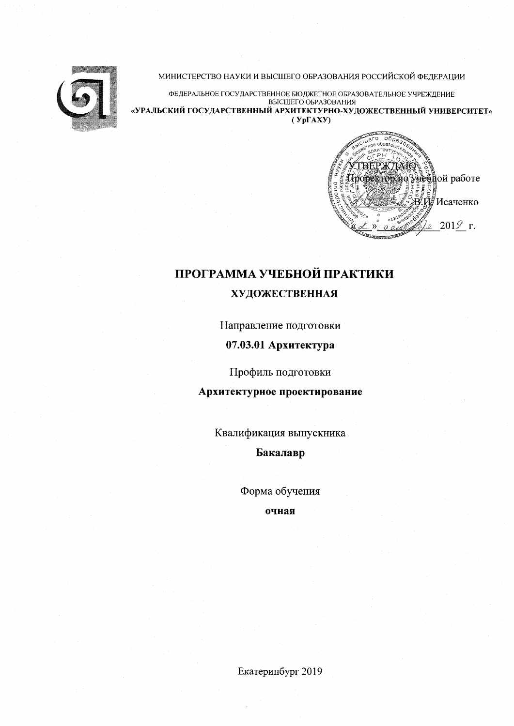

### МИНИСТЕРСТВО НАУКИ И ВЫСШЕГО ОБРАЗОВАНИЯ РОССИЙСКОЙ ФЕДЕРАЦИИ

ФЕДЕРАЛЬНОЕ ГОСУДАРСТВЕННОЕ БЮДЖЕТНОЕ ОБРАЗОВАТЕЛЬНОЕ УЧРЕЖДЕНИЕ ВЫСШЕГО ОБРАЗОВАНИЯ «УРАЛЬСКИЙ ГОСУДАРСТВЕННЫЙ АРХИТЕКТУРНО-ХУДОЖЕСТВЕННЫЙ УНИВЕРСИТЕТ»  $(Yp\Gamma A X Y)$ 



# ПРОГРАММА УЧЕБНОЙ ПРАКТИКИ **ХУДОЖЕСТВЕННАЯ**

Направление подготовки

### 07.03.01 Архитектура

Профиль подготовки

Архитектурное проектирование

Квалификация выпускника

Бакалавр

Форма обучения

очная

Екатеринбург 2019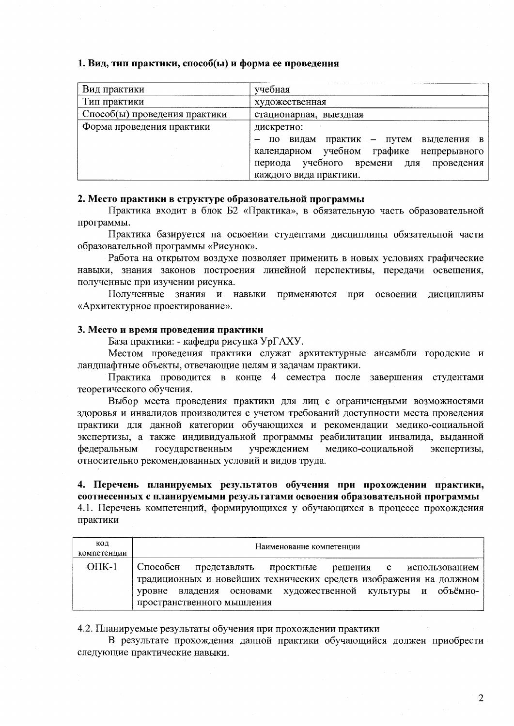### 1. Вид, тип практики, способ(ы) и форма ее проведения

| Вид практики                  | учебная                                       |  |  |  |  |  |
|-------------------------------|-----------------------------------------------|--|--|--|--|--|
| Тип практики                  | художественная                                |  |  |  |  |  |
| Способ(ы) проведения практики | стационарная, выездная                        |  |  |  |  |  |
| Форма проведения практики     | дискретно:                                    |  |  |  |  |  |
|                               | видам<br>практик — путем<br>по<br>выделения в |  |  |  |  |  |
|                               | календарном учебном графике<br>непрерывного   |  |  |  |  |  |
|                               | периода учебного времени для<br>проведения    |  |  |  |  |  |
|                               | каждого вида практики.                        |  |  |  |  |  |

### 2. Место практики в структуре образовательной программы

Практика входит в блок Б2 «Практика», в обязательную часть образовательной программы.

Практика базируется на освоении студентами дисциплины обязательной части образовательной программы «Рисунок».

Работа на открытом воздухе позволяет применить в новых условиях графические навыки, знания законов построения линейной перспективы, передачи освещения, полученные при изучении рисунка.

Полученные знания и навыки применяются при освоении дисциплины «Архитектурное проектирование».

### 3. Место и время проведения практики

База практики: - кафедра рисунка УрГАХУ.

Местом проведения практики служат архитектурные ансамбли городские и ландшафтные объекты, отвечающие целям и задачам практики.

Практика проводится в конце 4 семестра после завершения студентами теоретического обучения.

Выбор места проведения практики для лиц с ограниченными возможностями здоровья и инвалидов производится с учетом требований доступности места проведения практики для данной категории обучающихся и рекомендации медико-социальной экспертизы, а также индивидуальной программы реабилитации инвалида, выданной федеральным государственным учреждением медико-социальной экспертизы, относительно рекомендованных условий и видов труда.

## 4. Перечень планируемых результатов обучения при прохождении практики, соотнесенных с планируемыми результатами освоения образовательной программы 4.1. Перечень компетенций, формирующихся у обучающихся в процессе прохождения

практики кол Наименование компетенции компетенции

| OIIK-1 | Способен представлять проектные решения с использованием           |  |  |  |  |
|--------|--------------------------------------------------------------------|--|--|--|--|
|        | традиционных и новейших технических средств изображения на должном |  |  |  |  |
|        | уровне владения основами художественной культуры и объёмно-        |  |  |  |  |
|        | пространственного мышления                                         |  |  |  |  |

4.2. Планируемые результаты обучения при прохождении практики

В результате прохождения данной практики обучающийся должен приобрести следующие практические навыки.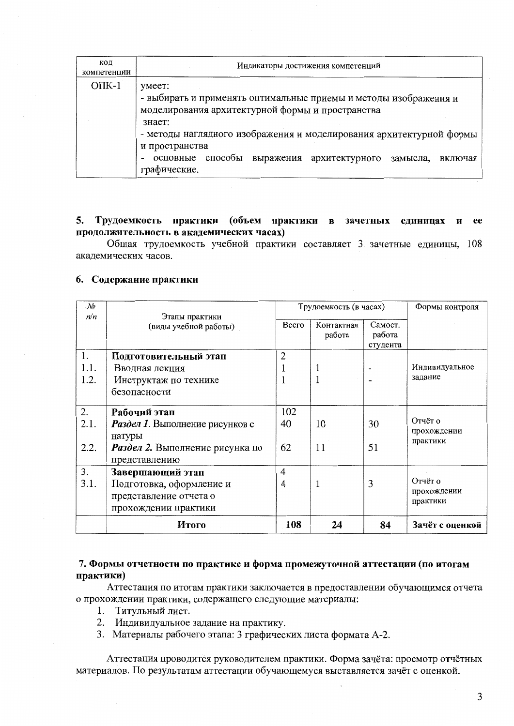| код<br>компетенции | Индикаторы достижения компетенций                                                                                                                                                                                                                                                                                        |  |  |  |  |  |
|--------------------|--------------------------------------------------------------------------------------------------------------------------------------------------------------------------------------------------------------------------------------------------------------------------------------------------------------------------|--|--|--|--|--|
| $OIIK-1$           | умеет:<br>- выбирать и применять оптимальные приемы и методы изображения и<br>моделирования архитектурной формы и пространства<br>знает:<br>- методы наглядного изображения и моделирования архитектурной формы<br>и пространства<br>основные способы<br>выражения архитектурного<br>замысла,<br>включая<br>графические. |  |  |  |  |  |

### 5. Трудоемкость практики (объем практики в зачетных единицах и ee продолжительность в академических часах)

Общая трудоемкость учебной практики составляет 3 зачетные единицы, 108 акалемических часов.

### 6. Содержание практики

| No   |                                                  | Трудоемкость (в часах) |                      |                               | Формы контроля                     |  |
|------|--------------------------------------------------|------------------------|----------------------|-------------------------------|------------------------------------|--|
| n/n  | Этапы практики<br>(виды учебной работы)          | Всего                  | Контактная<br>работа | Самост.<br>работа<br>студента |                                    |  |
| 1.   | Подготовительный этап                            | $\overline{2}$         |                      |                               |                                    |  |
| 1.1. | Вводная лекция                                   |                        |                      |                               | Индивидуальное                     |  |
| 1.2. | Инструктаж по технике                            |                        |                      |                               | задание                            |  |
|      | безопасности                                     |                        |                      |                               |                                    |  |
| 2.   | Рабочий этап                                     | 102                    |                      |                               |                                    |  |
| 2.1. | Раздел 1. Выполнение рисунков с<br>натуры        | 40                     | 10                   | 30                            | Отчёт о<br>прохождении<br>практики |  |
| 2.2. | Раздел 2. Выполнение рисунка по<br>представлению | 62                     | 11                   | 51                            |                                    |  |
| 3.   | Завершающий этап                                 | 4                      |                      |                               |                                    |  |
| 3.1. | Подготовка, оформление и                         | $\overline{4}$         |                      | 3                             | Отчёт о                            |  |
|      | представление отчета о                           |                        |                      |                               | прохождении<br>практики            |  |
|      | прохождении практики                             |                        |                      |                               |                                    |  |
|      | Итого                                            | 108                    | 24                   | 84                            | Зачёт с оценкой                    |  |

### 7. Формы отчетности по практике и форма промежуточной аттестации (по итогам практики)

Аттестация по итогам практики заключается в предоставлении обучающимся отчета о прохождении практики, содержащего следующие материалы:

- 1. Титульный лист.
- 2. Индивидуальное задание на практику.
- 3. Материалы рабочего этапа: 3 графических листа формата А-2.

Аттестация проводится руководителем практики. Форма зачёта: просмотр отчётных материалов. По результатам аттестации обучающемуся выставляется зачёт с оценкой.

3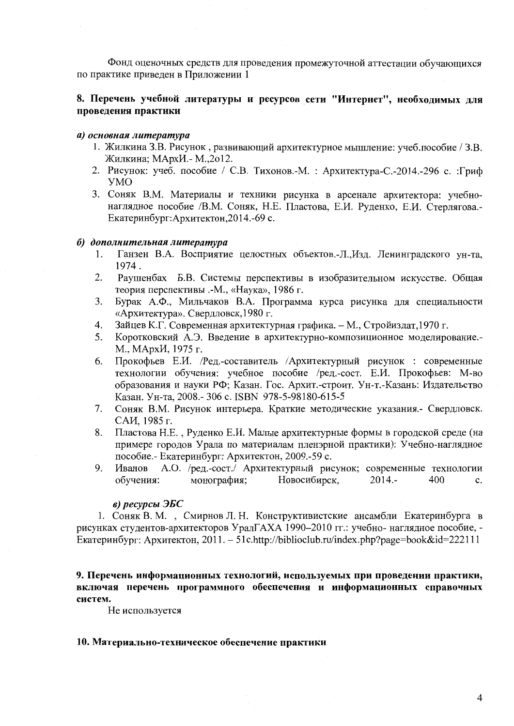Фонд оценочных средств для проведения промежуточной аттестации обучающихся по практике приведен в Приложении 1

### 8. Перечень учебной литературы и ресурсов сети "Интернет", необходимых для проведения практики

### а) основная литература

- 1. Жилкина З.В. Рисунок, развивающий архитектурное мышление: учеб.пособие / З.В. Жилкина; МАрхИ. - М.,2012.
- 2. Рисунок: учеб. пособие / С.В. Тихонов.-М.: Архитектура-С.-2014.-296 с.: Гриф **YMO**
- 3. Соняк В.М. Материалы и техники рисунка в арсенале архитектора: учебнонаглядное пособие /В.М. Соняк, Н.Е. Пластова, Е.И. Руденко, Е.И. Стерлягова.-Екатеринбург: Архитектон, 2014.-69 с.

### б) дополнительная литература

- Ганзен В.А. Восприятие целостных объектов.-Л., Изд. Ленинградского ун-та, 1. 1974.
- 2. Раушенбах Б.В. Системы перспективы в изобразительном искусстве. Общая теория перспективы .-М., «Наука», 1986 г.
- 3. Бурак А.Ф., Мильчаков В.А. Программа курса рисунка для специальности «Архитектура». Свердловск, 1980 г.
- Зайцев К.Г. Современная архитектурная графика. М., Стройиздат, 1970 г.  $\overline{4}$ .
- Коротковский А.Э. Введение в архитектурно-композиционное моделирование.-5. М., МАрхИ, 1975 г.
- Прокофьев Е.И. /Ред.-составитель /Архитектурный рисунок : современные 6. технологии обучения: учебное пособие /ред.-сост. Е.И. Прокофьев: М-во образования и науки РФ; Казан. Гос. Архит.-строит. Ун-т.-Казань: Издательство Казан. Ун-та, 2008.- 306 с. ISBN 978-5-98180-615-5
- Соняк В.М. Рисунок интерьера. Краткие методические указания.- Свердловск.  $7<sub>1</sub>$ САИ. 1985 г.
- Пластова Н.Е., Руденко Е.И. Малые архитектурные формы в городской среде (на 8. примере городов Урала по материалам пленэрной практики): Учебно-наглядное пособие.- Екатеринбург: Архитектон, 2009.-59 с.
- Иванов А.О. /ред.-сост./ Архитектурный рисунок; современные технологии 9. обучения: Новосибирск, монография;  $2014 -$ 400  $\mathbf{c}$ .

### в) ресурсы ЭБС

1. Соняк В. М., Смирнов Л. Н. Конструктивистские ансамбли Екатеринбурга в рисунках студентов-архитекторов УралГАХА 1990-2010 гг.: учебно- наглядное пособие, -Екатеринбург: Архитектон, 2011. – 51 c.http://biblioclub.ru/index.php?page=book&id=222111

9. Перечень информационных технологий, используемых при проведении практики, включая перечень программного обеспечения и информационных справочных систем.

Не используется

### 10. Материально-техническое обеспечение практики

 $\overline{4}$